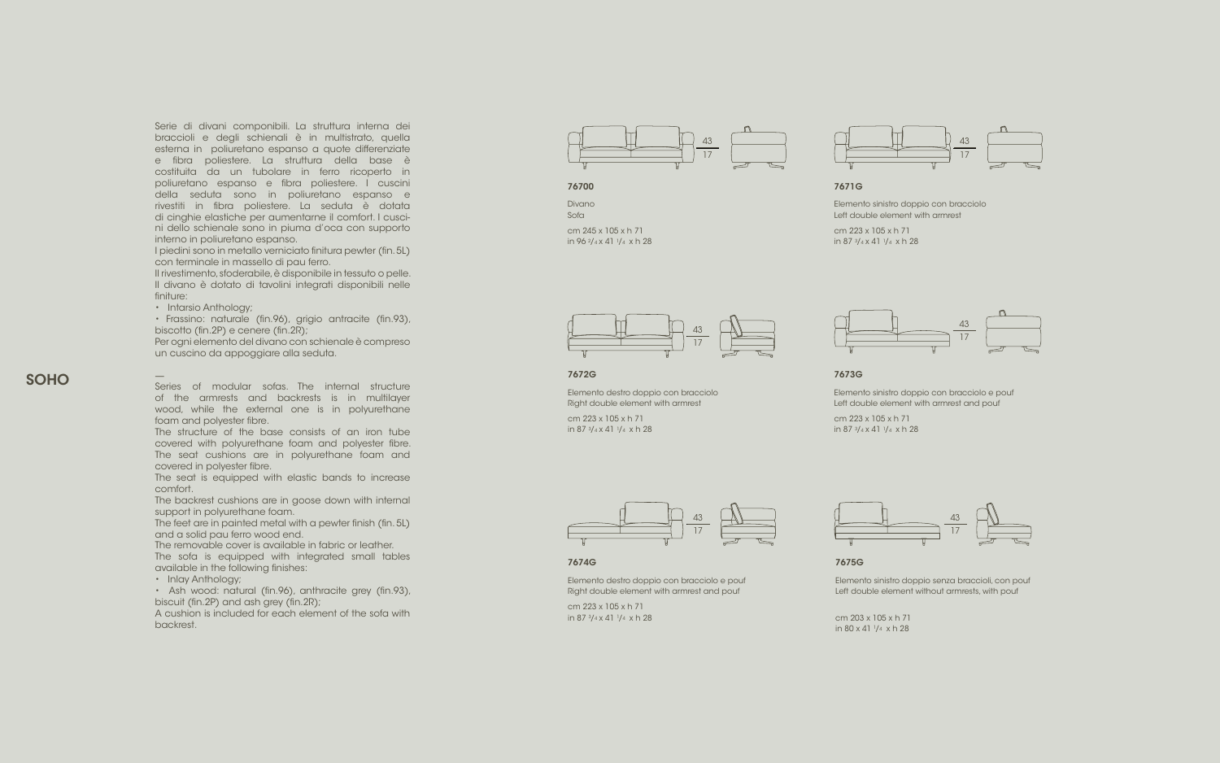

Divano Sofa

cm 245 x 105 x h 71 in 96 2 / 4 x 41 1 / 4 x h 28



7672G

Elemento destro doppio con bracciolo Right double element with armrest

cm 223 x 105 x h 71 in 87 3/ 4 x 41 1 / 4 x h 28

> Elemento sinistro doppio senza braccioli, con pouf Left double element without armrests, with pouf

cm 203 x 105 x h 71 in 80 x 41 1 / 4 x h 28

Elemento sinistro doppio con bracciolo Left double element with armrest

cm 223 x 105 x h 71 in 87 3/ 4 x 41 1 / 4 x h 28

#### 7673G



7675G

Elemento sinistro doppio con bracciolo e pouf Left double element with armrest and pouf



7671G

cm 223 x 105 x h 71 in 87 3/ 4 x 41 1 / 4 x h 28

Elemento destro doppio con bracciolo e pouf Right double element with armrest and pouf



7674G

cm 223 x 105 x h 71 in 87 3/ 4 x 41 1 / 4 x h 28







# SOHO

Serie di divani componibili. La struttura interna dei braccioli e degli schienali è in multistrato, quella esterna in poliuretano espanso a quote differenziate e fibra poliestere. La struttura della base è costituita da un tubolare in ferro ricoperto in poliuretano espanso e fibra poliestere. I cuscini della seduta sono in poliuretano espanso e rivestiti in fibra poliestere. La seduta è dotata di cinghie elastiche per aumentarne il comfort. I cusci ni dello schienale sono in piuma d'oca con supporto interno in poliuretano espanso.

• Ash wood: natural (fin.96), anthracite grey (fin.93), biscuit (fin.2P) and ash grey (fin.2R);

I piedini sono in metallo verniciato finitura pewter (fin. 5L) con terminale in massello di pau ferro.

Il rivestimento, sfoderabile, è disponibile in tessuto o pelle. Il divano è dotato di tavolini integrati disponibili nelle finiture:

• Intarsio Anthology;

• Frassino: naturale (fin.96), grigio antracite (fin.93), biscotto (fin.2P) e cenere (fin.2R);

Per ogni elemento del divano con schienale è compreso un cuscino da appoggiare alla seduta.

—

Series of modular sofas. The internal structure of the armrests and backrests is in multilayer wood, while the external one is in polyurethane foam and polyester fibre.

The structure of the base consists of an iron tube covered with polyurethane foam and polyester fibre. The seat cushions are in polyurethane foam and covered in polyester fibre.

The seat is equipped with elastic bands to increase comfort.

The backrest cushions are in goose down with internal support in polyurethane foam.

The feet are in painted metal with a pewter finish (fin. 5L) and a solid pau ferro wood end.

The removable cover is available in fabric or leather.

The sofa is equipped with integrated small tables available in the following finishes:

• Inlay Anthology;

A cushion is included for each element of the sofa with backrest.

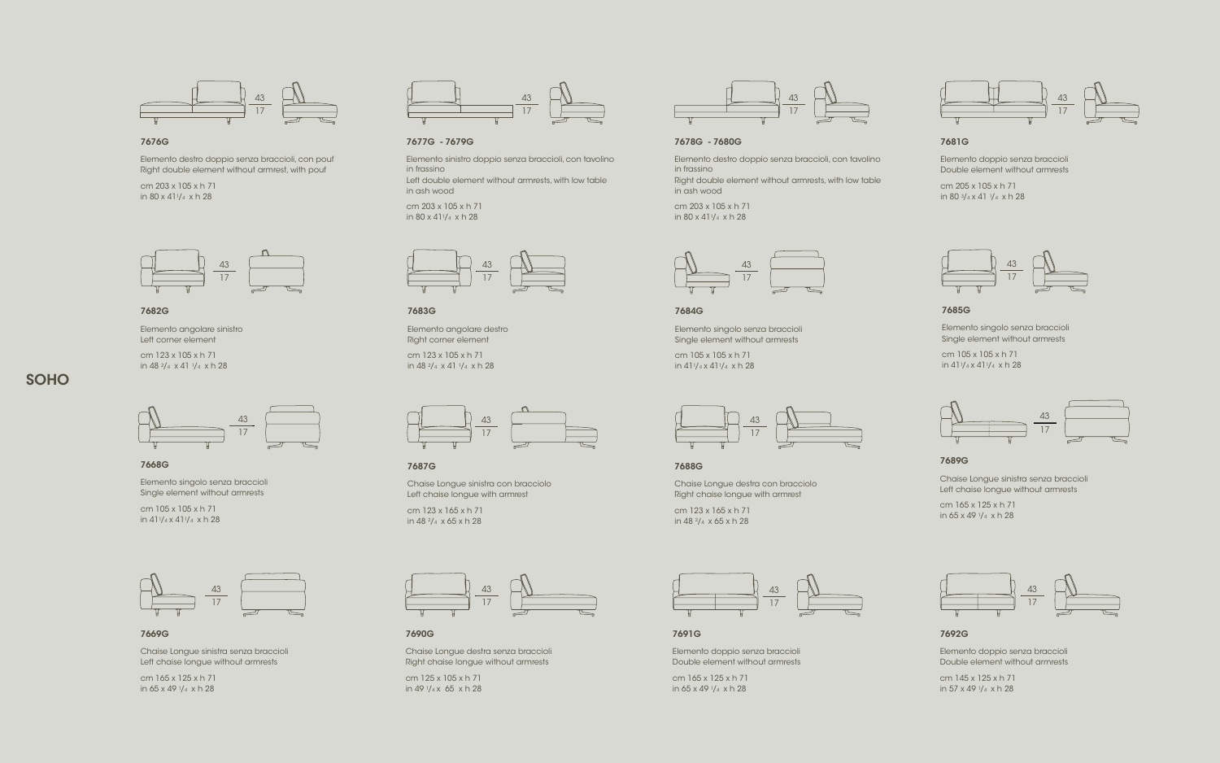## 7676G

cm 203 x 105 x h 71 in  $80 \times 41$ <sup>1</sup>/<sub>4</sub> x h 28

Elemento destro doppio senza braccioli, con pouf Right double element without armrest, with pouf

#### 7677G - 7679G

Elemento sinistro doppio senza braccioli, con tavolino in frassino

> cm 203 x 105 x h 71 in  $80 \times 41$ <sup>1</sup>/<sub>4</sub> x h 28

Left double element without armrests, with low table in ash wood

cm 205 x 105 x h 71 in 80  $3/4 \times 41$   $1/4 \times h$  28

cm 203 x 105 x h 71 in 80 x 411/4 x h 28

# 7678G - 7680G

Elemento destro doppio senza braccioli, con tavolino in frassino

Right double element without armrests, with low table in ash wood

cm 165 x 125 x h 71 in 65 x 49  $1/4$  x h 28

cm 145 x 125 x h 71 in  $57 \times 49 \frac{1}{4} \times h$  28

# 7681G

Elemento doppio senza braccioli Double element without armrests

cm 165 x 125 x h 71 in 65 x 49  $1/4$  x h 28

7682G

Elemento angolare sinistro Left corner element

cm 165 x 125 x h 71 in 65 x 49  $1/4$  x h 28

cm 123 x 105 x h 71 in 48 2/4 x 41 1/4 x h 28

#### 7687G

cm 125 x 105 x h 71 in 49  $1/4x$  65  $x$  h 28

Chaise Longue sinistra con bracciolo Left chaise longue with armrest

cm 123 x 165 x h 71 in 48 2/4 x 65 x h 28

#### 7691G

cm 105 x 105 x h 71 in  $411/4 \times 411/4 \times h$  28

Elemento doppio senza braccioli Double element without armrests cm 105 x 105 x h 71 in  $411/4 \times 411/4 \times h$  28

# 7692G

Elemento doppio senza braccioli Double element without armrests

cm 105 x 105 x h 71 in  $411/4 \times 411/4 \times h$  28

## 7688G

Chaise Longue destra con bracciolo Right chaise longue with armrest

cm 123 x 165 x h 71 in 48 2/4 x 65 x h 28

#### 7689G

Chaise Longue sinistra senza braccioli Left chaise longue without armrests

#### 7669G

Chaise Longue sinistra senza braccioli Left chaise longue without armrests

#### 7690G

Chaise Longue destra senza braccioli Right chaise longue without armrests

7683G

Elemento angolare destro Right corner element

cm 123 x 105 x h 71 in 48 2/4 x 41 1/4 x h 28

# 7684G

Elemento singolo senza braccioli Single element without armrests

#### 7685G

Elemento singolo senza braccioli Single element without armrests

































#### 7668G

Elemento singolo senza braccioli Single element without armrests

# SOHO